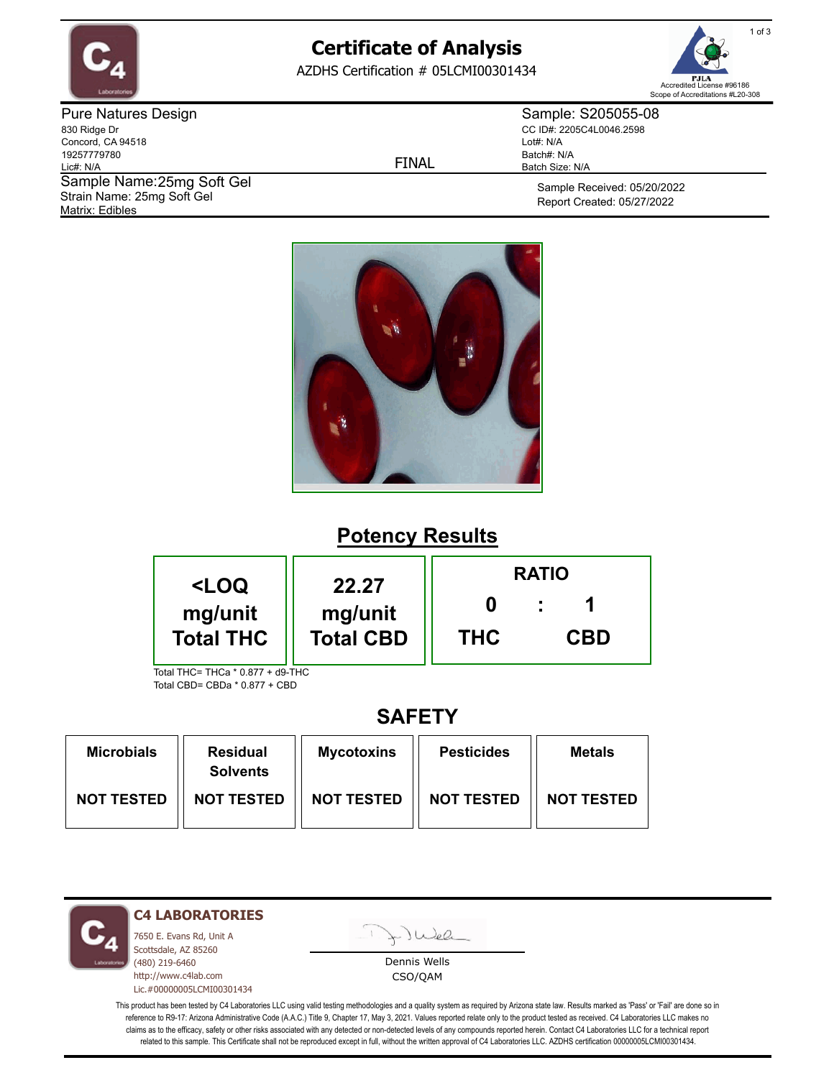

# **Certificate of Analysis**

AZDHS Certification # 05LCMI00301434



Pure Natures Design 830 Ridge Dr Concord, CA 94518 19257779780 Lic#: N/A Matrix: Edibles Sample Name: 25mg Soft Gel Strain Name: 25mg Soft Gel

FINAL

Sample: S205055-08 CC ID#: 2205C4L0046.2598 Lot#: N/A Batch#: N/A Batch Size: N/A

> Sample Received: 05/20/2022 Report Created: 05/27/2022



### **Potency Results**

| <loq< th=""><th rowspan="2">22.27<br/>mg/unit<br/><b>Total CBD</b></th><th></th><th><b>RATIO</b></th></loq<> | 22.27<br>mg/unit<br><b>Total CBD</b> |            | <b>RATIO</b> |
|--------------------------------------------------------------------------------------------------------------|--------------------------------------|------------|--------------|
| mg/unit<br><b>Total THC</b>                                                                                  |                                      | <b>THC</b> | <b>CBD</b>   |
| Total THC= THCa * 0.877 + d9-THC                                                                             |                                      |            |              |

Total CBD= CBDa \* 0.877 + CBD

### **SAFETY**

| <b>Microbials</b> | <b>Residual</b><br><b>Solvents</b> | <b>Mycotoxins</b> | <b>Pesticides</b> | <b>Metals</b>     |
|-------------------|------------------------------------|-------------------|-------------------|-------------------|
| <b>NOT TESTED</b> | <b>NOT TESTED</b>                  | <b>NOT TESTED</b> | <b>NOT TESTED</b> | <b>NOT TESTED</b> |

**C4 LABORATORIES**

7650 E. Evans Rd, Unit A Scottsdale, AZ 85260 (480) 219-6460 http://www.c4lab.com Lic.#00000005LCMI00301434 Juea

Dennis Wells CSO/QAM

This product has been tested by C4 Laboratories LLC using valid testing methodologies and a quality system as required by Arizona state law. Results marked as 'Pass' or 'Fail' are done so in reference to R9-17: Arizona Administrative Code (A.A.C.) Title 9, Chapter 17, May 3, 2021. Values reported relate only to the product tested as received. C4 Laboratories LLC makes no claims as to the efficacy, safety or other risks associated with any detected or non-detected levels of any compounds reported herein. Contact C4 Laboratories LLC for a technical report related to this sample. This Certificate shall not be reproduced except in full, without the written approval of C4 Laboratories LLC. AZDHS certification 00000005LCMI00301434.

1 of 3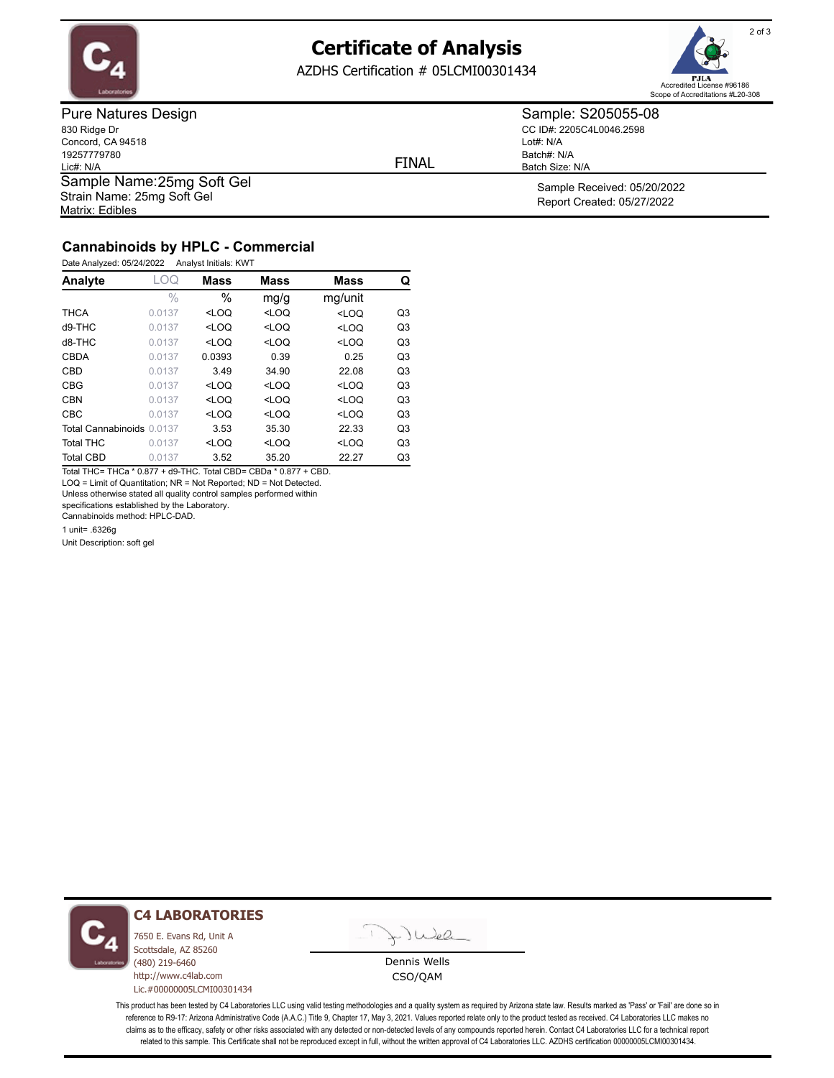

## **Certificate of Analysis**

AZDHS Certification # 05LCMI00301434



Pure Natures Design 830 Ridge Dr Concord, CA 94518 19257779780 Lic#: N/A Matrix: Edibles Sample Name: 25mg Soft Gel Strain Name: 25mg Soft Gel

FINAL

Lot#: N/A

Batch#: N/A Batch Size: N/A

Sample: S205055-08 CC ID#: 2205C4L0046.2598

> Sample Received: 05/20/2022 Report Created: 05/27/2022

### **Cannabinoids by HPLC - Commercial**

| Date Analyzed: 05/24/2022 | Analyst Initials: KWT |
|---------------------------|-----------------------|
|                           |                       |

| Analyte                   | LOQ           | <b>Mass</b> | <b>Mass</b> | <b>Mass</b> | Q              |
|---------------------------|---------------|-------------|-------------|-------------|----------------|
|                           | $\frac{0}{0}$ | $\%$        | mg/g        | mg/unit     |                |
| <b>THCA</b>               | 0.0137        | $<$ LOO     | $<$ LOO     | $<$ LOO     | Q3             |
| $d9-THC$                  | 0.0137        | $<$ LOQ     | $<$ LOQ     | $<$ LOQ     | Q3             |
| d8-THC                    | 0.0137        | $<$ LOO     | $<$ LOQ     | $<$ LOQ     | Q <sub>3</sub> |
| CBDA                      | 0.0137        | 0.0393      | 0.39        | 0.25        | Q <sub>3</sub> |
| CBD                       | 0.0137        | 3.49        | 34.90       | 22.08       | Q <sub>3</sub> |
| <b>CBG</b>                | 0.0137        | $<$ LOO     | $<$ LOQ     | $<$ LOQ     | Q <sub>3</sub> |
| <b>CBN</b>                | 0.0137        | $<$ LOO     | $<$ LOQ     | $<$ LOQ     | Q <sub>3</sub> |
| CBC                       | 0.0137        | $<$ LOQ     | $<$ LOQ     | $<$ LOQ     | Q <sub>3</sub> |
| Total Cannabinoids 0.0137 |               | 3.53        | 35.30       | 22.33       | Q <sub>3</sub> |
| <b>Total THC</b>          | 0.0137        | $<$ LOQ     | $<$ LOQ     | $<$ LOQ     | Q <sub>3</sub> |
| <b>Total CBD</b>          | 0.0137        | 3.52        | 35.20       | 22.27       | Q3             |

Total THC= THCa \* 0.877 + d9-THC. Total CBD= CBDa \* 0.877 + CBD. LOQ = Limit of Quantitation; NR = Not Reported; ND = Not Detected.

Unless otherwise stated all quality control samples performed within

specifications established by the Laboratory.

Cannabinoids method: HPLC-DAD.

1 unit= .6326g

Unit Description: soft gel



#### **C4 LABORATORIES**

7650 E. Evans Rd, Unit A Scottsdale, AZ 85260 (480) 219-6460 http://www.c4lab.com Lic.#00000005LCMI00301434

Juea

Dennis Wells CSO/QAM

This product has been tested by C4 Laboratories LLC using valid testing methodologies and a quality system as required by Arizona state law. Results marked as 'Pass' or 'Fail' are done so in reference to R9-17: Arizona Administrative Code (A.A.C.) Title 9, Chapter 17, May 3, 2021. Values reported relate only to the product tested as received. C4 Laboratories LLC makes no claims as to the efficacy, safety or other risks associated with any detected or non-detected levels of any compounds reported herein. Contact C4 Laboratories LLC for a technical report related to this sample. This Certificate shall not be reproduced except in full, without the written approval of C4 Laboratories LLC. AZDHS certification 00000005LCMI00301434.